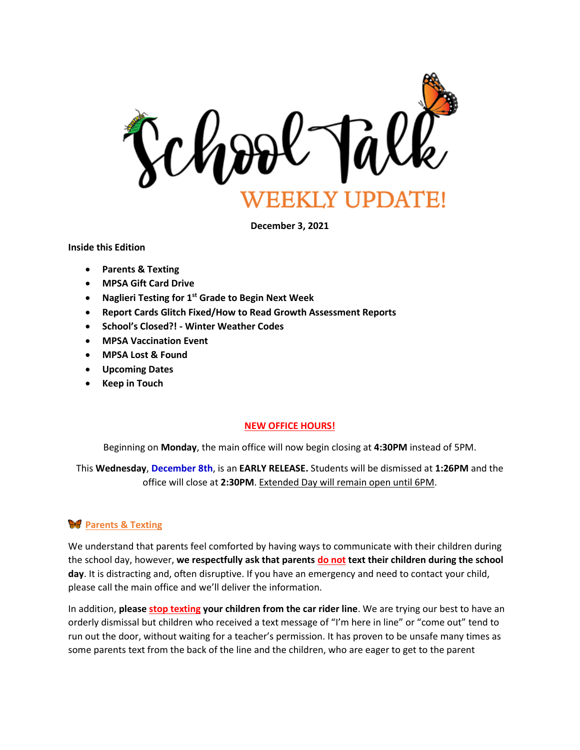

**December 3, 2021**

**Inside this Edition**

- **Parents & Texting**
- **MPSA Gift Card Drive**
- **Naglieri Testing for 1st Grade to Begin Next Week**
- **Report Cards Glitch Fixed/How to Read Growth Assessment Reports**
- **School's Closed?! - Winter Weather Codes**
- **MPSA Vaccination Event**
- **MPSA Lost & Found**
- **Upcoming Dates**
- **Keep in Touch**

#### **NEW OFFICE HOURS!**

Beginning on **Monday**, the main office will now begin closing at **4:30PM** instead of 5PM.

This **Wednesday**, **December 8th**, is an **EARLY RELEASE.** Students will be dismissed at **1:26PM** and the office will close at **2:30PM**. Extended Day will remain open until 6PM.

### **W** Parents & Texting

We understand that parents feel comforted by having ways to communicate with their children during the school day, however, **we respectfully ask that parents do not text their children during the school day**. It is distracting and, often disruptive. If you have an emergency and need to contact your child, please call the main office and we'll deliver the information.

In addition, **please stop texting your children from the car rider line**. We are trying our best to have an orderly dismissal but children who received a text message of "I'm here in line" or "come out" tend to run out the door, without waiting for a teacher's permission. It has proven to be unsafe many times as some parents text from the back of the line and the children, who are eager to get to the parent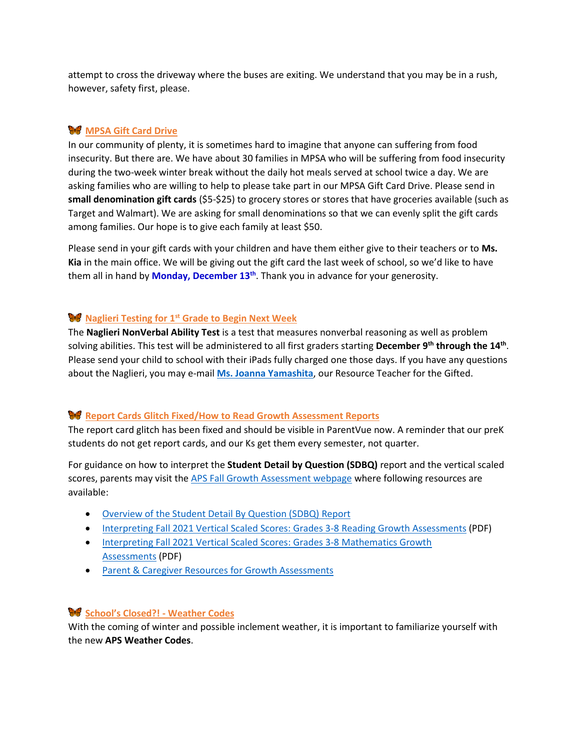attempt to cross the driveway where the buses are exiting. We understand that you may be in a rush, however, safety first, please.

## **MPSA Gift Card Drive**

In our community of plenty, it is sometimes hard to imagine that anyone can suffering from food insecurity. But there are. We have about 30 families in MPSA who will be suffering from food insecurity during the two-week winter break without the daily hot meals served at school twice a day. We are asking families who are willing to help to please take part in our MPSA Gift Card Drive. Please send in **small denomination gift cards** (\$5-\$25) to grocery stores or stores that have groceries available (such as Target and Walmart). We are asking for small denominations so that we can evenly split the gift cards among families. Our hope is to give each family at least \$50.

Please send in your gift cards with your children and have them either give to their teachers or to **Ms. Kia** in the main office. We will be giving out the gift card the last week of school, so we'd like to have them all in hand by **Monday, December 13th**. Thank you in advance for your generosity.

### **Naglieri Testing for 1 st Grade to Begin Next Week**

The **Naglieri NonVerbal Ability Test** is a test that measures nonverbal reasoning as well as problem solving abilities. This test will be administered to all first graders starting **December 9th through the 14th** . Please send your child to school with their iPads fully charged one those days. If you have any questions about the Naglieri, you may e-mail **[Ms. Joanna Yamashita](mailto:joanna.yamashita@apsva.us)**, our Resource Teacher for the Gifted.

### **Report Cards Glitch Fixed/How to Read Growth Assessment Reports**

The report card glitch has been fixed and should be visible in ParentVue now. A reminder that our preK students do not get report cards, and our Ks get them every semester, not quarter.

For guidance on how to interpret the **Student Detail by Question (SDBQ)** report and the vertical scaled scores, parents may visit th[e APS Fall Growth Assessment webpage](https://www.apsva.us/instruction/curriculum-instruction/assessment/the-parent-corner/fall-growth-assessments/) where following resources are available:

- [Overview of the Student Detail By Question \(SDBQ\) Report](https://www.doe.virginia.gov/testing/sol/parent-resources/overview-sdbq-report.pdf)
- [Interpreting Fall 2021 Vertical Scaled Scores: Grades 3-8 Reading Growth Assessments](https://www.doe.virginia.gov/testing/sol/parent-resources/fall-2021-vertical-scaled-scores-reading.pdf) (PDF)
- [Interpreting Fall 2021 Vertical Scaled Scores: Grades 3-8 Mathematics Growth](https://www.doe.virginia.gov/testing/sol/parent-resources/fall-2021-vertical-scaled-scores-math.pdf)  [Assessments](https://www.doe.virginia.gov/testing/sol/parent-resources/fall-2021-vertical-scaled-scores-math.pdf) (PDF)
- [Parent & Caregiver Resources for Growth Assessments](https://tinyurl.com/VAparentpage)

### **School's Closed?! - Weather Codes**

With the coming of winter and possible inclement weather, it is important to familiarize yourself with the new **APS Weather Codes**.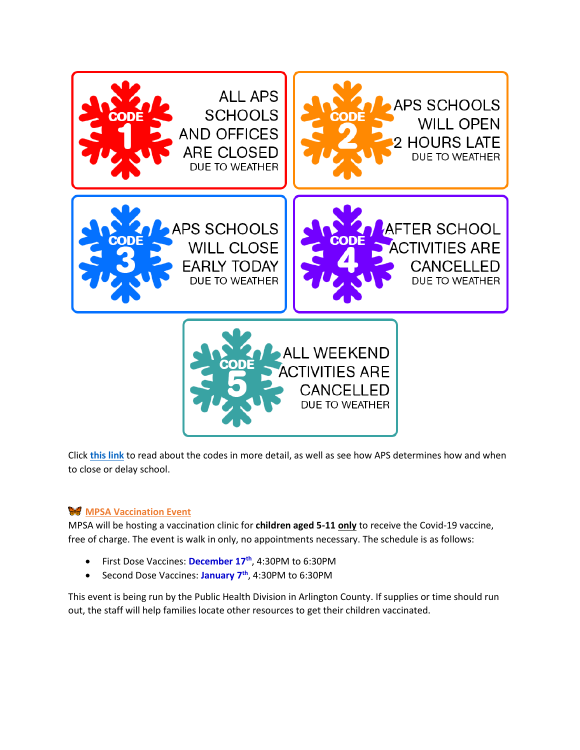

Click **[this link](https://www.apsva.us/emergency-alerts/)** to read about the codes in more detail, as well as see how APS determines how and when to close or delay school.

# **W** MPSA Vaccination Event

MPSA will be hosting a vaccination clinic for **children aged 5-11 only** to receive the Covid-19 vaccine, free of charge. The event is walk in only, no appointments necessary. The schedule is as follows:

- First Dose Vaccines: **December 17th** , 4:30PM to 6:30PM
- Second Dose Vaccines: **January 7th**, 4:30PM to 6:30PM

This event is being run by the Public Health Division in Arlington County. If supplies or time should run out, the staff will help families locate other resources to get their children vaccinated.